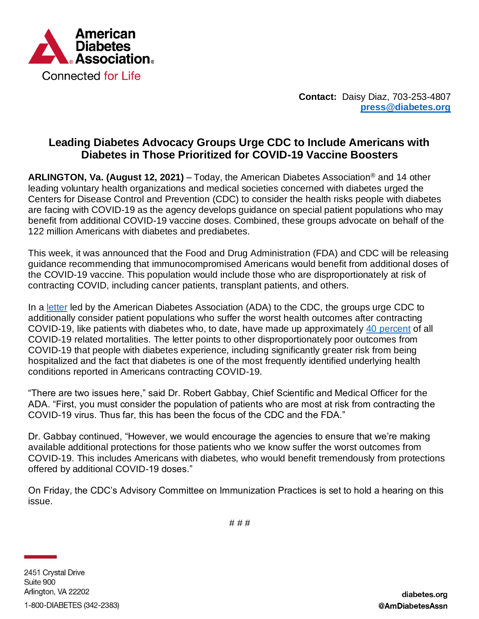

**Contact:** Daisy Diaz, 703-253-4807 **[press@diabetes.org](mailto:press@diabetes.org)**

## **Leading Diabetes Advocacy Groups Urge CDC to Include Americans with Diabetes in Those Prioritized for COVID-19 Vaccine Boosters**

**ARLINGTON, Va. (August 12, 2021)** – Today, the American Diabetes Association® and 14 other leading voluntary health organizations and medical societies concerned with diabetes urged the Centers for Disease Control and Prevention (CDC) to consider the health risks people with diabetes are facing with COVID-19 as the agency develops guidance on special patient populations who may benefit from additional COVID-19 vaccine doses. Combined, these groups advocate on behalf of the 122 million Americans with diabetes and prediabetes.

This week, it was announced that the Food and Drug Administration (FDA) and CDC will be releasing guidance recommending that immunocompromised Americans would benefit from additional doses of the COVID-19 vaccine. This population would include those who are disproportionately at risk of contracting COVID, including cancer patients, transplant patients, and others.

In a [letter](https://diabetes.org/sites/default/files/2021-08/CDC%20booster%20letter.pdf) led by the American Diabetes Association (ADA) to the CDC, the groups urge CDC to additionally consider patient populations who suffer the worst health outcomes after contracting COVID-19, like patients with diabetes who, to date, have made up approximately [40 percent](https://www.cdc.gov/mmwr/volumes/69/wr/mm6928e1.htm) of all COVID-19 related mortalities. The letter points to other disproportionately poor outcomes from COVID-19 that people with diabetes experience, including significantly greater risk from being hospitalized and the fact that diabetes is one of the most frequently identified underlying health conditions reported in Americans contracting COVID-19.

"There are two issues here," said Dr. Robert Gabbay, Chief Scientific and Medical Officer for the ADA. "First, you must consider the population of patients who are most at risk from contracting the COVID-19 virus. Thus far, this has been the focus of the CDC and the FDA."

Dr. Gabbay continued, "However, we would encourage the agencies to ensure that we're making available additional protections for those patients who we know suffer the worst outcomes from COVID-19. This includes Americans with diabetes, who would benefit tremendously from protections offered by additional COVID-19 doses."

On Friday, the CDC's Advisory Committee on Immunization Practices is set to hold a hearing on this issue.

*# # #*

2451 Crystal Drive Suite 900 Arlington, VA 22202

1-800-DIABETES (342-2383)